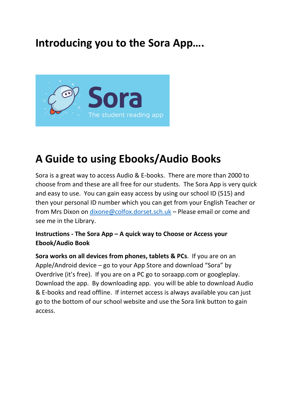## **Introducing you to the Sora App….**



## **A Guide to using Ebooks/Audio Books**

Sora is a great way to access Audio & E-books. There are more than 2000 to choose from and these are all free for our students. The Sora App is very quick and easy to use. You can gain easy access by using our school ID (515) and then your personal ID number which you can get from your English Teacher or from Mrs Dixon on [dixone@colfox.dorset.sch.uk](mailto:dixone@colfox.dorset.sch.uk) – Please email or come and see me in the Library.

## **Instructions - The Sora App – A quick way to Choose or Access your Ebook/Audio Book**

**Sora works on all devices from phones, tablets & PCs**. If you are on an Apple/Android device – go to your App Store and download "Sora" by Overdrive (it's free). If you are on a PC go to soraapp.com or googleplay. Download the app. By downloading app. you will be able to download Audio & E-books and read offline. If internet access is always available you can just go to the bottom of our school website and use the Sora link button to gain access.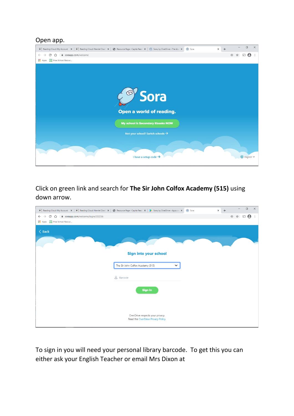## Open app.



Click on green link and search for **The Sir John Colfox Academy (515)** using down arrow.

| RC Reading Cloud: My Account X   RC Reading Cloud: Hamlet Over   X   @ Resource Page - Capita Read   X   > Sora, by OverDrive - Apps on X |                                                                        | Sora | $\ddot{}$<br>$\times$ | $\Box$                                      | $\times$ |
|-------------------------------------------------------------------------------------------------------------------------------------------|------------------------------------------------------------------------|------|-----------------------|---------------------------------------------|----------|
| ■ soraapp.com/welcome/login/202256<br>C<br>$\leftarrow$<br>⇧<br>$\rightarrow$                                                             |                                                                        |      |                       | $\boldsymbol{\Theta}$<br>$\oplus$<br>☆<br>凹 | ÷        |
| <b>ED</b> Free School Resour                                                                                                              |                                                                        |      |                       |                                             |          |
| $\langle$ Back                                                                                                                            |                                                                        |      |                       |                                             |          |
|                                                                                                                                           |                                                                        |      |                       |                                             |          |
|                                                                                                                                           | Sign into your school                                                  |      |                       |                                             |          |
|                                                                                                                                           | The Sir John Colfox Academy (515)<br>$\check{~}$                       |      |                       |                                             |          |
|                                                                                                                                           | <b>8</b> Barcode                                                       |      |                       |                                             |          |
|                                                                                                                                           | <b>Sign in</b>                                                         |      |                       |                                             |          |
|                                                                                                                                           |                                                                        |      |                       |                                             |          |
|                                                                                                                                           | OverDrive respects your privacy.<br>Read the OverDrive Privacy Policy. |      |                       |                                             |          |

To sign in you will need your personal library barcode. To get this you can either ask your English Teacher or email Mrs Dixon at